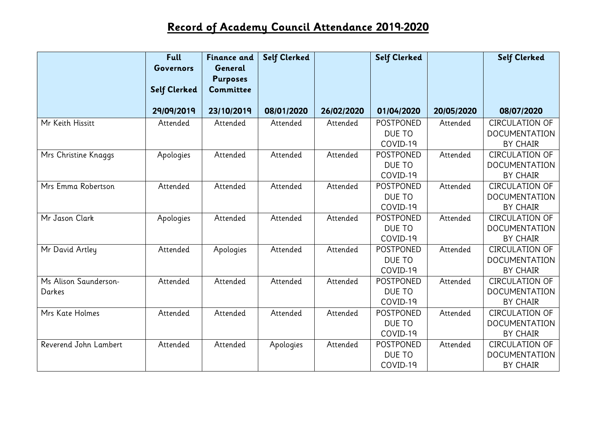## **Record of Academy Council Attendance 2019-2020**

|                                 | <b>Full</b><br><b>Governors</b> | <b>Finance and</b><br>General<br><b>Purposes</b> | <b>Self Clerked</b> |            | <b>Self Clerked</b>                    |            | <b>Self Clerked</b>                                              |
|---------------------------------|---------------------------------|--------------------------------------------------|---------------------|------------|----------------------------------------|------------|------------------------------------------------------------------|
|                                 | <b>Self Clerked</b>             | Committee                                        |                     |            |                                        |            |                                                                  |
|                                 | 29/09/2019                      | 23/10/2019                                       | 08/01/2020          | 26/02/2020 | 01/04/2020                             | 20/05/2020 | 08/07/2020                                                       |
| Mr Keith Hissitt                | Attended                        | Attended                                         | Attended            | Attended   | POSTPONED<br>DUE TO<br>COVID-19        | Attended   | <b>CIRCULATION OF</b><br><b>DOCUMENTATION</b><br><b>BY CHAIR</b> |
| Mrs Christine Knaggs            | Apologies                       | Attended                                         | Attended            | Attended   | <b>POSTPONED</b><br>DUE TO<br>COVID-19 | Attended   | <b>CIRCULATION OF</b><br><b>DOCUMENTATION</b><br><b>BY CHAIR</b> |
| Mrs Emma Robertson              | Attended                        | Attended                                         | Attended            | Attended   | <b>POSTPONED</b><br>DUE TO<br>COVID-19 | Attended   | <b>CIRCULATION OF</b><br><b>DOCUMENTATION</b><br><b>BY CHAIR</b> |
| Mr Jason Clark                  | Apologies                       | Attended                                         | Attended            | Attended   | POSTPONED<br>DUE TO<br>COVID-19        | Attended   | <b>CIRCULATION OF</b><br><b>DOCUMENTATION</b><br><b>BY CHAIR</b> |
| Mr David Artley                 | Attended                        | Apologies                                        | Attended            | Attended   | <b>POSTPONED</b><br>DUE TO<br>COVID-19 | Attended   | <b>CIRCULATION OF</b><br><b>DOCUMENTATION</b><br><b>BY CHAIR</b> |
| Ms Alison Saunderson-<br>Darkes | Attended                        | Attended                                         | Attended            | Attended   | <b>POSTPONED</b><br>DUE TO<br>COVID-19 | Attended   | <b>CIRCULATION OF</b><br><b>DOCUMENTATION</b><br><b>BY CHAIR</b> |
| Mrs Kate Holmes                 | Attended                        | Attended                                         | Attended            | Attended   | <b>POSTPONED</b><br>DUE TO<br>COVID-19 | Attended   | <b>CIRCULATION OF</b><br><b>DOCUMENTATION</b><br><b>BY CHAIR</b> |
| Reverend John Lambert           | Attended                        | Attended                                         | Apologies           | Attended   | POSTPONED<br>DUE TO<br>COVID-19        | Attended   | <b>CIRCULATION OF</b><br><b>DOCUMENTATION</b><br><b>BY CHAIR</b> |